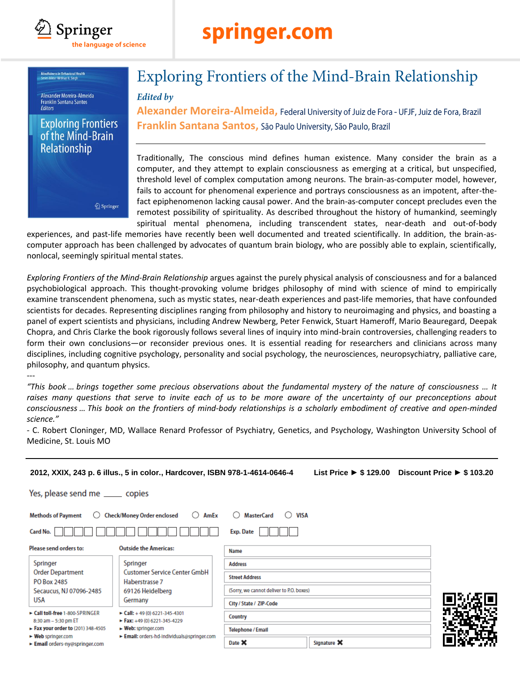

# springer.com

.<br>Mindfulness in Behavioral Health<br>Series Editor: Nirbhay N. Singh

#### Alexander Moreira-Almeida **Franklin Santana Santos Fditors**

### **Exploring Frontiers** of the Mind-Brain Relationship

Springer

## **Exploring Frontiers of the Mind-Brain Relationship**

### **Edited by**

Alexander Moreira-Almeida, Federal University of Juiz de Fora - UFJF, Juiz de Fora, Brazil **Franklin Santana Santos,** 

Traditionally, The conscious mind defines human existence. Many consider the brain as a computer, and they attempt to explain consciousness as emerging at a critical, but unspecified, threshold level of complex computation among neurons. The brain-as-computer model, however, fails to account for phenomenal experience and portrays consciousness as an impotent, after-thefact epiphenomenon lacking causal power. And the brain-as-computer concept precludes even the remotest possibility of spirituality. As described throughout the history of humankind, seemingly spiritual mental phenomena, including transcendent states, near-death and out-of-body

experiences, and past-life memories have recently been well documented and treated scientifically. In addition, the brain-ascomputer approach has been challenged by advocates of quantum brain biology, who are possibly able to explain, scientifically, nonlocal, seemingly spiritual mental states.

*Exploring Frontiers of the Mind-Brain Relationship* argues against the purely physical analysis of consciousness and for a balanced psychobiological approach. This thought-provoking volume bridges philosophy of mind with science of mind to empirically examine transcendent phenomena, such as mystic states, near-death experiences and past-life memories, that have confounded scientists for decades. Representing disciplines ranging from philosophy and history to neuroimaging and physics, and boasting a panel of expert scientists and physicians, including Andrew Newberg, Peter Fenwick, Stuart Hameroff, Mario Beauregard, Deepak Chopra, and Chris Clarke the book rigorously follows several lines of inquiry into mind-brain controversies, challenging readers to form their own conclusions—or reconsider previous ones. It is essential reading for researchers and clinicians across many disciplines, including cognitive psychology, personality and social psychology, the neurosciences, neuropsychiatry, palliative care, philosophy, and quantum physics.

---

**PO Box 2485** 

**USA** 

Secaucus, NJ 07096-2485

Exall toll-free 1-800-SPRINGER

Fax your order to (201) 348-4505

Email orders-ny@springer.com

8:30 am - 5:30 pm ET

► Web springer.com

Haberstrasse 7

Germany

69126 Heidelberg

 $\triangleright$  Call: +49 (0) 6221-345-4301

Fax: +49 (0) 6221-345-4229

Email: orders-hd-individuals@springer.com

► Web: springer.com

*"This book … brings together some precious observations about the fundamental mystery of the nature of consciousness … It raises many questions that serve to invite each of us to be more aware of the uncertainty of our preconceptions about consciousness … This book on the frontiers of mind-body relationships is a scholarly embodiment of creative and open-minded science."*

- C. Robert Cloninger, MD, Wallace Renard Professor of Psychiatry, Genetics, and Psychology, Washington University School of

| Medicine, St. Louis MO             |                                                                             |                                                    |  |                                                 |  |  |  |  |  |  |  |  |
|------------------------------------|-----------------------------------------------------------------------------|----------------------------------------------------|--|-------------------------------------------------|--|--|--|--|--|--|--|--|
|                                    | 2012, XXIX, 243 p. 6 illus., 5 in color., Hardcover, ISBN 978-1-4614-0646-4 |                                                    |  | List Price ► \$129.00 Discount Price ► \$103.20 |  |  |  |  |  |  |  |  |
| Yes, please send me _______ copies |                                                                             |                                                    |  |                                                 |  |  |  |  |  |  |  |  |
| <b>Methods of Payment</b><br>O     | <b>Check/Money Order enclosed</b><br>$\bigcirc$ AmEx                        | <b>MasterCard</b><br>$\bigcirc$ VISA<br>$\bigcirc$ |  |                                                 |  |  |  |  |  |  |  |  |
| Card No.                           |                                                                             | Exp. Date                                          |  |                                                 |  |  |  |  |  |  |  |  |
| Please send orders to:             | <b>Outside the Americas:</b>                                                | <b>Name</b>                                        |  |                                                 |  |  |  |  |  |  |  |  |
| Springer                           | Springer                                                                    | <b>Address</b>                                     |  |                                                 |  |  |  |  |  |  |  |  |
| <b>Order Department</b>            | <b>Customer Service Center GmbH</b>                                         | <b>Street Address</b>                              |  |                                                 |  |  |  |  |  |  |  |  |

(Sorry, we cannot deliver to P.O. boxes)

Signature X

City / State / ZIP-Code

**Telephone / Email** 

Country

Date X

| aditionally, The conscious mind defines human existence. Many consider the brain       |  |  |  |  |  |
|----------------------------------------------------------------------------------------|--|--|--|--|--|
| mputer, and they attempt to explain consciousness as emerging at a critical, but unspe |  |  |  |  |  |